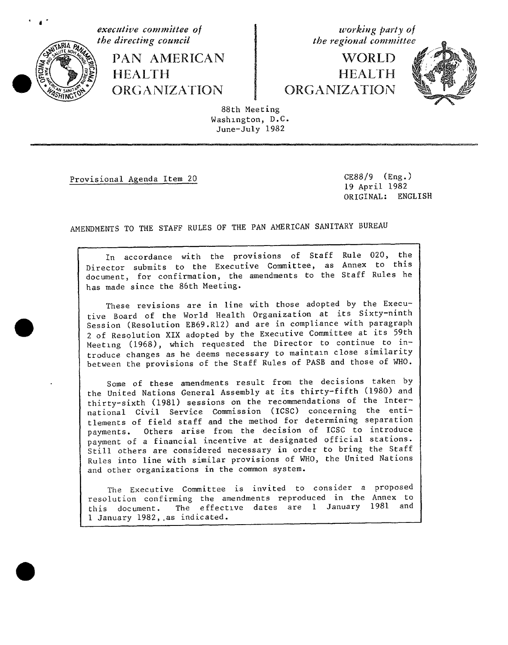

· d

4\_x\_\_**the di**r**ecting council the regional committee** f\_ PA**N** AMERI**C**A**N** WORLD  $\begin{array}{c}\n\text{HEALTH}\n\\ \text{ORGANIZATION}\n\end{array}\n\quad\n\begin{array}{c}\n\text{HEALTH}\n\\ \text{ORGANIZATION}\n\end{array}$ 

**executive comm**i**ttee o**f **working party of**



 $88th$  Meeting Washington, D.C. Washzngton, D.C. **J**une-July 1982

Provisional Agenda Item 20 CE88/9 (Eng.)<br>19 April 1982  $\overline{O}$   $\overline{O}$   $\overline{O}$   $\overline{O}$   $\overline{O}$   $\overline{O}$   $\overline{O}$   $\overline{O}$   $\overline{O}$   $\overline{O}$   $\overline{O}$   $\overline{O}$   $\overline{O}$   $\overline{O}$   $\overline{O}$   $\overline{O}$   $\overline{O}$   $\overline{O}$   $\overline{O}$   $\overline{O}$   $\overline{O}$   $\overline{O}$   $\overline{O}$   $\overline{O}$   $\overline{$ ORIGINAL: ENGLISH

AMENDMENTS TO THE STAFF RULES **O**F THE PAN AMERICAN SANITARY BUREAU

In accordance with the provisions of Staff Rule 020, the<br>Director submits to the Executive Committee, as Annex to this Director submitts to the Executive Committee, as  $\frac{1}{2}$  and  $\frac{1}{2}$  and  $\frac{1}{2}$ document, for confirmation, the amendments to the Staff Rules h has made since the 86th Meeting.

These revisions are in line with those adopted by the Execu-<br>tive Board of the World Health Organization at its Sixty-ninth Session (Resolution EB69.R12) and are in compliance with paragraph 2 of Resolution XIX adopted by the Executive Committee at its 59th Meeting (1968), which requested the Director to continue to introduce changes as he deems necessary to maintain close similarity troduce changes as he deems necessary to maintain  $\frac{1}{2}$  maintains and those of  $\frac{1}{2}$ between the provisions of the Staff Rules of PASB and those of WHO.

Some of these amendments result from the decisions taken by<br>the United Nations General Assembly at its thirty-fifth (1980) and thirty-sixth (1981) sessions on the recommendations of the International Civil Service Commission (ICSC) concerning the entitlements of field staff and the method for determining separation payments. Others arise from the decision of ICSC to introduce payment of a financial incentive at designated official stations. Still others are considered necessary in order to bring the Staff  $S$  still others are considered necessary in  $\frac{1}{2}$  in  $\frac{1}{2}$  in  $\frac{1}{2}$  in  $\frac{1}{2}$  in  $\frac{1}{2}$  in  $\frac{1}{2}$  in  $\frac{1}{2}$  in  $\frac{1}{2}$  in  $\frac{1}{2}$  in  $\frac{1}{2}$  in  $\frac{1}{2}$  in  $\frac{1}{2}$  in  $\frac{1}{2}$  in  $\frac{1}{2$ Rules into line with similar provisions of MUS, the United National Company and other organizations in the common system.

The Executive Committee is invited to consider a proposed resolution confirming the amendments reproduced in the Annex to  $r_{\text{c}}$  is constructed in the amendments reproduced in the Annex to  $\frac{1}{2}$  and  $\frac{1}{2}$  and  $\frac{1}{2}$  and  $\frac{1}{2}$  and  $\frac{1}{2}$  and  $\frac{1}{2}$  and  $\frac{1}{2}$  and  $\frac{1}{2}$  and  $\frac{1}{2}$  and  $\frac{1}{2}$  and  $\frac{1}{2}$  a this document. The effective dates are 1 January 1981 and 1 January 1982,.as indicated.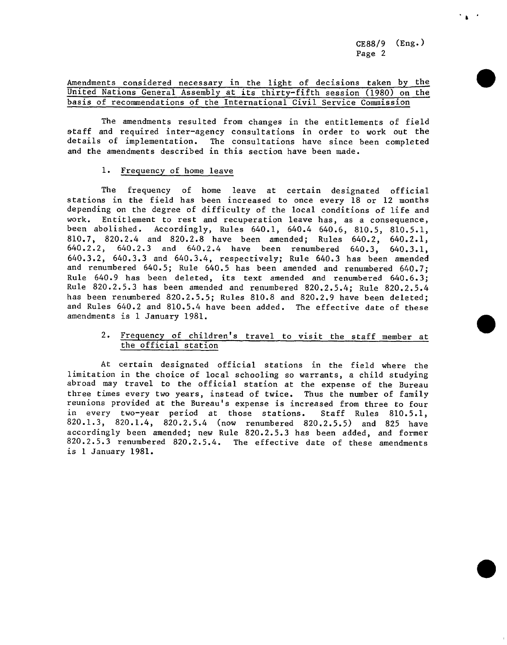CE88**/**9 (Eng.) Page 2

# Amendments considered necessary in the light of decisions taken by the United Nations General Assembly at its thirty-fifth session (1980) on the basis of recommendations of the International Civil Service Commission

The amendments resulted from changes in the entitlements of field staff and required inter-agency consultations in order to work out the details of implementation. The consultations have since been completed and the amendments described in this section have been made.

## 1. Frequency of h**ome leave**

The frequency of home leave at certain designated official stations in the field has been increased to once every 18 or 12 months depending on the degree of difficulty of the local conditions of life and work. Entitlement to rest and recuperation leave has, as a consequence, been abolished. Accordingly, Rules 640.1, 640.4 640.6, 810.5, 810.5.1, 810.7, 820.2.4 and 820.2.8 have been amended; Rules 640.2, 640.2.1, 640.2.2, 640.2.3 and 640.2.4 have been renumbered 640.3, 640.3.1, 640.3.2, 640.3.3 and 640.3.4, respectively; Rule 640.3 has been amended and renumbered 640.5; Rule 640.5 has been amended and renumbered 640.7; Rule 640.9 has been deleted, its text amended and renumbered 640.6.3; Rule 820.2.5.3 has been amended and renumbered 820.2.5.4; Rule 820.2.5.4 has been renumbered 820.2.5.5; Rules 810.8 and 820.2.9 have been deleted; and Rules 640.2 and 810.5.4 have been added. The effective date of these amendments is 1 January 1981.

# 2. Frequency of children's travel to visit the staff member at the official station

At certain designated official stations in the field where the limitation in the choice of local schooling so warrants, a child studying abroad may travel to the official station at the expense of the Bureau three times every two years, instead of twice. Thus the number of family reunions provided at the Bureau's expense is increased from three to four in every two-year period at those stations. Staff Rules 810.5.1, 820.1.3, 820.1.4, 820.2.5.4 (now renumbered 820.2.5.5) and 825 have accordingly been amended; new Rule 820.2.5.3 has been added, and former 820.2.5.3 renumbered 820.2.5.4. The effective date of these amendments is 1 January 1981.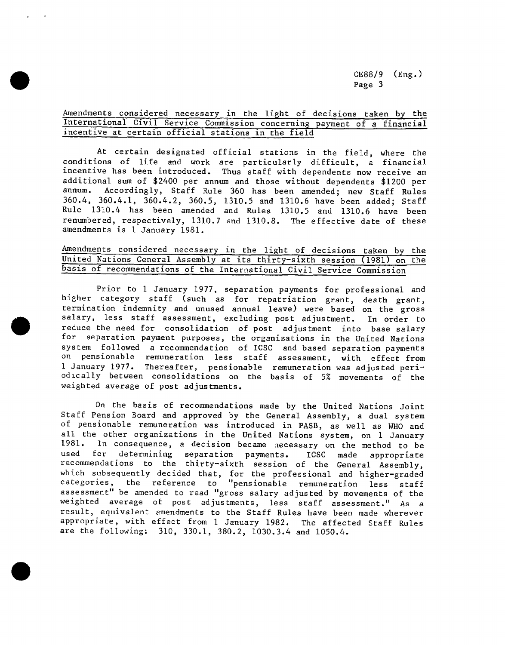# Amendments considered necessary in the light of decisions taken by the International Civil Service Commission concerning payment of a financial incentive at certain official stations in the field

At certain designated official stations in the field, where the conditions of life and work are particularly difficult, a financial incentive has been introduced. Thus staff with dependents now receive an additional sum of \$2400 per annum and those without dependents \$1200 per Accordingly, Staff Rule 360 has been amended; new Staff Rules 360.4, 360.4.1, 360.4.2, 360.5, 1310.5 and 1310.6 have been added; Staff Rule 1310.4 has been amended and Rules 1310.5 and 1310.6 have been renumbered, respectively, 1310.7 and 1310.8. The effective date of these amendments is 1 January 1981.

## American Considered necessary in the light of decisions taken by the United Nations General Assembly at its thirty-sixth session (1981) on the basis of recommendations of the International Civil Service Commission

Prior to 1 January 1977, separation payments for professional and higher category staff (such as for repatriation grant, death grant, termination indemnity and unused annual leave) were based on the gross salary, less staff assessment, excluding post adjustment. In order to reduce the need for consolidation of post adjustment into base salary for separation payment purposes, the organizations in the United Nations system followed a recommendation of ICSC and based separation payments on pensionable remuneration less staff assessment, with effect from 1 January 1977. Thereafter, pensionable remuneration was adjusted periodlcally between consolidations on the basis of 5% movements of the weighted average of post adjustments.

On the basis of recommendations made by the United Nations Joint Staff Pension Board and approved by the General Assembly, a dual system of pensionable remuneration was introduced in PASB, as well as WHO and all the other organizations in the United Nations system, on 1 January 1981. In consequence, a decision became necessary on the method to be<br>used for determining separation payments. ICSC made appropriate used for determining separation payments. ICSC made appropriate recommendations to the thirty-sixth session of the General Assembly, which subsequently decided that, for the professional and higher-grade categories, the reference to "pensionable remuneration less staff assessment" be amended to read "gross salary adjusted by movements of the weighted average of post adjustments, less staff assessment." As a result, equivalent amendments to the Staff Rules have been made wherever appropriate, with effect from 1 January 1982. The affected Staff Rules are the following: 310, 330.1, 380.2, 1030.3.4 and 1050.4.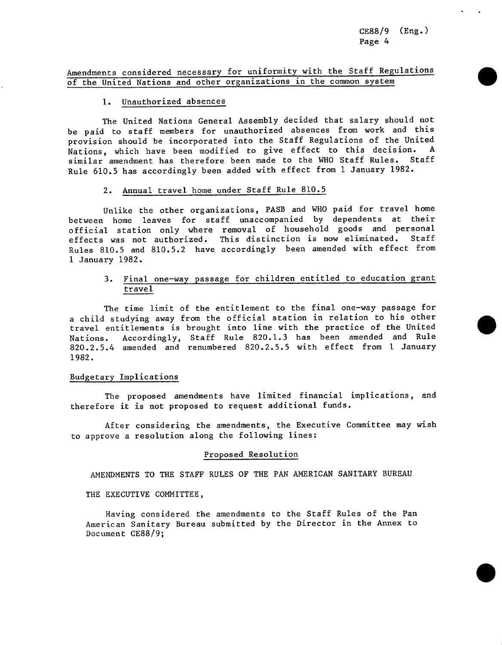CE88**/**9 (Eng.) Page 4

# Amendments considered necessary for uniformity with the Staff Regulations of the United Nations and other organizations in the common system

## 1. Unauthorized absences

The United Nations General Assembly decided that salary should not be paid to staff members for unauthorized absences from work and this provision should be incorporated into the Staff Regulations of the United Nations, which have been modified to give effect to this decision. similar amendment has therefore been made to the WHO Staff Rules. Staff Rule 610.5 has accordingly been added with effect from 1 January 1982.

#### 2. Annual travel home under Staff Rule 810.5

Unlike the other organizations, PASB and WHO paid for travel home between home leaves for staff unaccompanied by dependents at their official station only where removal of household goods and personal<br>effects was not authorized. This distinction is now eliminated. Staff effects was not authorized. This distinction is now eliminated. Rules 810.5 and 810.5.2 have accordingly been amended with effect from 1 January 1982.

# 3. Final one-way passage for children entitled to education grant travel

The time limit of the entitlement to the final one-way passage for a child studying away from the official station in relation to his other travel entitlements is brought into line with the practice of the United Nations. Accordingly, Staff Rule 820.1.3 has been amended and Rule 820.2.5.4 amended and renumbered 820.2.5.5 with effect from 1 January 1982.

# Budgetary Implications

The proposed amendments have limited financial implications, and therefore it is not proposed to request additional funds.

After considering the amendments, the Executive Committee may wish to approve a resolution along the following lines:

#### Proposed Resolution

AMENDMENTS TO THE STAFF RULES OF THE PAN AMERICAN SANITARY BUREAU

THE EXECUTIVE COMMITTEE,

Having considered the amendments to the Staff Rules of the Pan American Sanitary Bureau submitted by the Director in the Annex to Document CE88**/**9;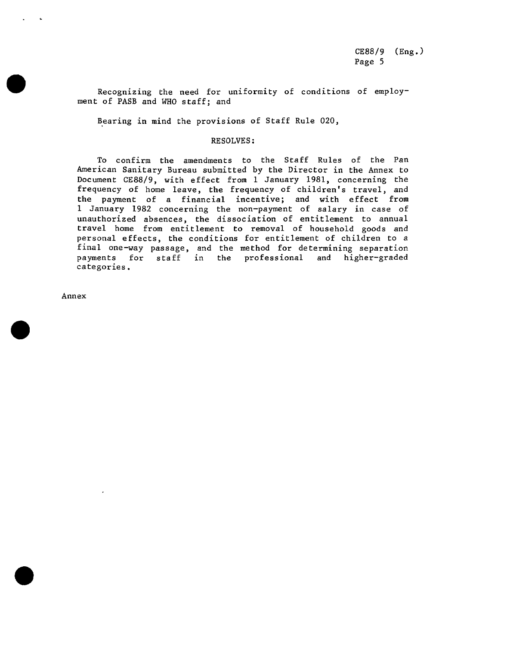Recognizing the need for uniformity of conditions of employment of PASB and WHO staff; and

Bearing in mind the provisions of Staff Rule 020,

#### RESOLVES:

To confirm the amendments to the Staff Rules of the Pan American Sanitary Bureau submitted by the Director in the Annex to Document CE88**/**9, with effect from 1 January 1981, concerning the frequency of home leave, the frequency of children's travel, and the payment of a financial incentive; and with effect from 1 January 1982 concerning the non-payment of salary in case of unauthorized absences, the dissociation of entitlement to annual travel home from entitlement to removal of household goods and personal effects, the conditions for entitlement of children to a final one-way passage, and the method for determining separation payments for staff in the professional and higher-graded categories.

Annex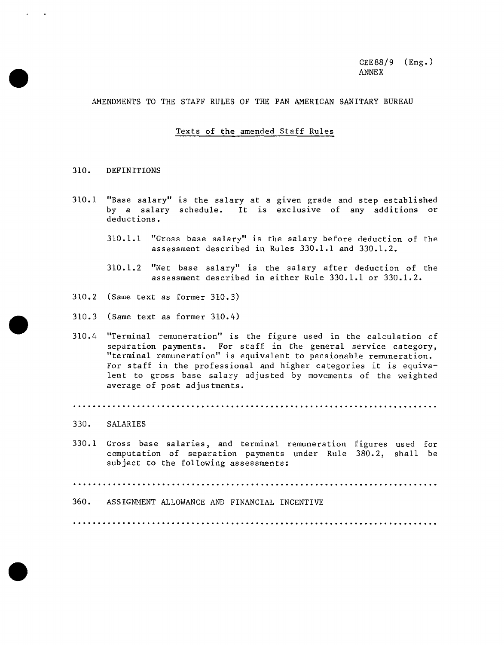AMENDMENTS TO THE STAFF RULES OF THE PAN AMERICAN SANITARY BUREAU

## Texts of the amended Staff Rules

#### 310. DEFINITIONS

- 310.1 "Base salary" is the salary at a given grade and step established by a salary schedule. It is exclusive of any additions or deductions.
	- 310.1.1 "Gross base salary" is the salary before deduction of the assessment described in Rules 330.1.1 and 330.1.2.
	- 310.1.2 "Net base salary" is the salary after deduction of the assessment described in either Rule 330.1.1 or 330.1.2.
- 310.2 (Same text as former 310.3)
- 310.3 (Same text as former 310.4)
- 310.4 "Terminal remuneration" is the figure used in the calculation of separation payments. For staff in the general service category, "terminal remuneration" is equivalent to pensionable remuneration. For staff in the professional and higher categories it is equivalent to gross base salary adjusted by movements of the weighted average of post adjustments.

#### 330. SALARIES

330.1 Gross base salaries, and terminal remuneration figures used for computation of separation payments under Rule 380.2, shall be subject to the following assessments:

360. ASSIGNMENT ALLOWANCE AND FINANCIAL INCENTIVE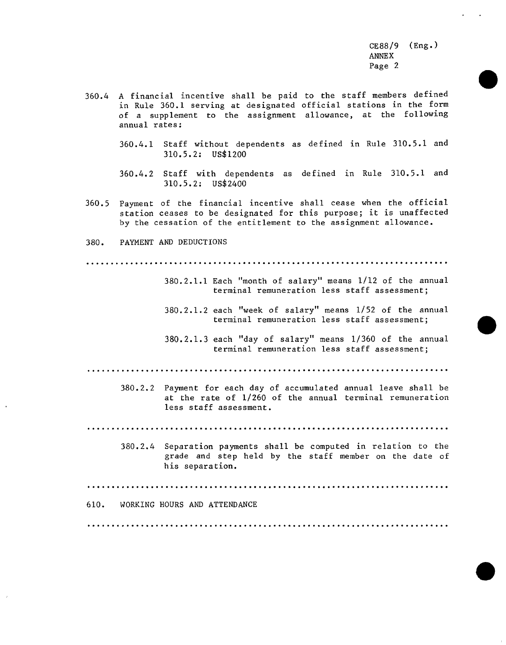- 360.4 A financial incentive shall be paid to the staff members defined in Rule 360.1 serving at designated official stations in the form of a supplement to the assignment allowance, at the following annual rates:
	- 360.4.1 Staff without dependents as defined in Rule 310.5.1 and 310.5.2: US\$1200
	- 360.4.2 Staff with dependents as defined in Rule 310.5.1 and  $310.5.2:$  US\$2400
- Payment of the financial incentive shall cease when the official  $360.5$ station ceases to be designated for this purpose; it is unaffected by the cessation of the entitlement to the assignment allowance.
- PAYMENT AND DEDUCTIONS 380.

- 380.2.1.1 Each "month of salary" means 1/12 of the annual terminal remuneration less staff assessment;
- 380.2.1.2 each "week of salary" means 1/52 of the annual terminal remuneration less staff assessment;
- 380.2.1.3 each "day of salary" means 1/360 of the annual terminal remuneration less staff assessment:

380.2.2 Payment for each day of accumulated annual leave shall be at the rate of 1/260 of the annual terminal remuneration less staff assessment.

380.2.4 Separation payments shall be computed in relation to the grade and step held by the staff member on the date of his separation.

610. WORKING HOURS AND ATTENDANCE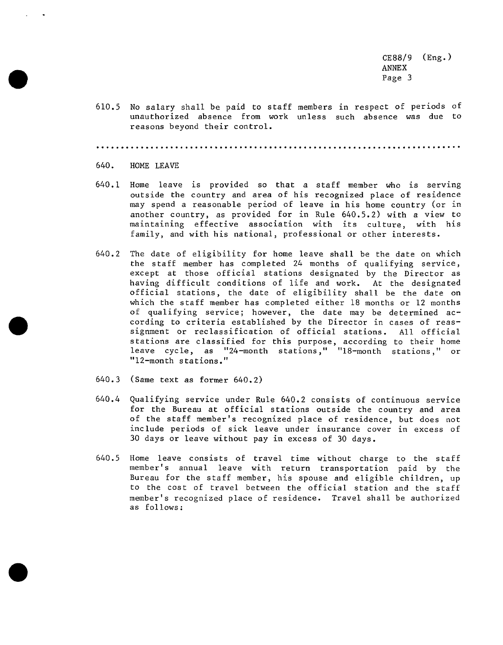610.5 No salary shall be paid to staff members in respect of periods of unauthorized absence from work unless such absence was due to reasons beyond their control.

.ee.eeeeee.ee.e,eeeeeeee.e.ee.eeee.eeeeeeeee.eeee.e.eeee.eeieeeeeelee.eee'

- 640. HOME LEAVE
- 640.1 Home leave is provided so that a staff member who is serving outside the country and area of his recognized place of residence may spend a reasonable period of leave in his home country (or in another country, as provided for in Rule 640.5.2) with a view to maintaining effective association with its culture, with his family, and with his national, professional or other interests.
- 640.2 The date of eligibility for home leave shall be the date on which the staff member has completed 24 months of qualifying service, except at those official stations designated by the Director as having difficult conditions of life and work. At the designated official stations, the date of eligibility shall be the date on which the staff member has completed either 18 months or 12 months of qualifying service; however, the date may be determined according to criteria established by the Director in cases of reassignment or reclassification of official stations. All official stations are classified for this purpose, according to their home leave cycle, as "24-month stations," "18-month stations," or "12-month stations."
- 640.3 (Same text as former 640.2)
- 640.4 Qualifying service under Rule 640.2 consists of continuous service for the Bureau at official stations outside the country and area of the staff member's recognized place of residence, but does not include periods of sick leave under insurance cover in excess of 30 days or leave without pay in excess of 30 days.
- 640.5 Home leave consists of travel time without charge to the staff member's annual leave with return transportation paid by the Bureau for the staff member, his spouse and eligible children, up to the cost of travel between the official station and the staff member's recognized place of residence. Travel shall be authorized as follows: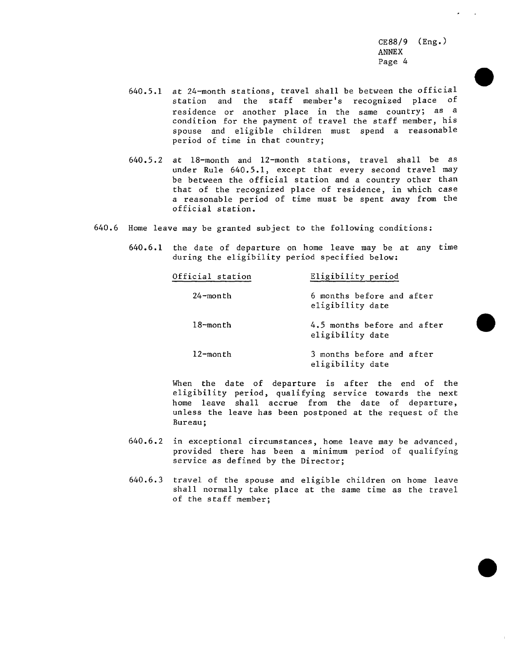- 640.5.1 at 24-month stations, travel shall be between the official station and the staff member's recognized place of residence or another place in the same country; as a condition for the payment of travel the staff member, his spouse and eligible children must spend a reasonable period of time in that country;
- 640.5.2 at 18-month and 12-month stations, travel shall be as under Rule 640.5.1, except that every second travel may be between the official station and a country other than that of the recognized place of residence, in which case a reasonable period of time must be spent away from the official station.
- 640.6 Home leave may be granted subject to the following conditions:
	- 640.6.1 the date of departure on home leave may be at any time during the eligibility period specified below:

| Official station | Eligibility period                              |
|------------------|-------------------------------------------------|
| 24-month         | 6 months before and after<br>eligibility date   |
| $18$ -month      | 4.5 months before and after<br>eligibility date |
| 12-month         | 3 months before and after<br>eligibility date   |

When the date of departure is after the end of the eligibility period, qualifying service towards the next home leave shall accrue from the date of departure, unless the leave has been postponed at the request of the Bureau;

- 640.6.2 in exceptional circumstances, home leave may be advanced, provided there has been a minimum period of qualifying service as defined by the Director;
- 640.6.3 travel of the spouse and eligible children on home leave shall normally take place at the same time as the travel of the staff member;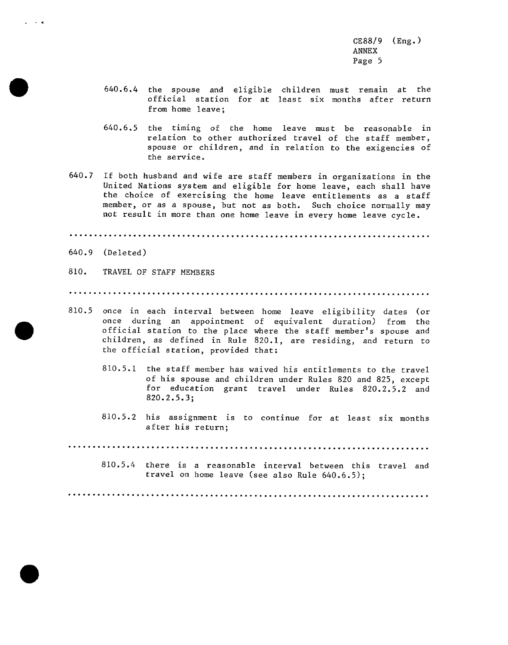- 640.6.4 the spouse and eligible children must remain at the official station for at least six months after return from home leave;
- 640.6.5 the timing of the home leave must be reasonable in relation to other authorized travel of the staff member, spouse or children, and in relation to the exigencies of the service.
- 640.7 If both husband and wife are staff members in organizations in the United Nations system and eligible for home leave, each shall have the choice of exercising the home leave entitlements as a staff member, or as a spouse, but not as both. Such choice normally may not result in more than one home leave in every home leave cycle.

 $640.9$  (Deleted)

. . **.** 

810. TRAVEL OF STAFF MEMBERS

- 810.5 once in each interval between home leave eligibility dates (or once during an appointment of equivalent duration) from the official station to the place where the staff member's spouse and children, as defined in Rule 820.1, are residing, and return to the official station, provided that:
	- 810.5.1 the staff member has waived his entitlements to the travel of his spouse and children under Rules 820 and 825, except for education grant travel under Rules 820.2.5.2 and  $820.2.5.3;$
	- 810.5.2 his assignment is to continue for at least six months after his return;

810.5.4 there is a reasonable interval between this travel and travel on home leave (see also Rule 640.6.5);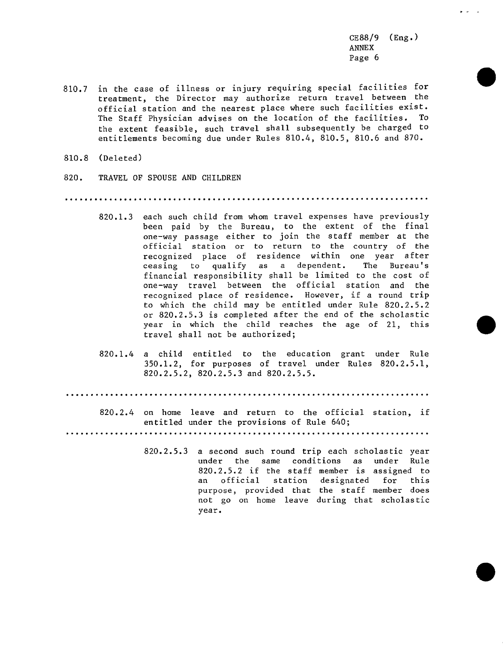- 810.7 in the case of illness or injury requiring special facilities for treatment, the Director may authorize return travel between the official station and the nearest place where such facilities exist. The Staff Physician advises on the location of the facilities. To the extent feasible, such travel shall subsequently be charged to entitlements becoming due under Rules 810.4, 810.5, 810.6 and 870.
- 810.8 (Deleted)
- 820. TRAVEL OF SPOUSE AND CHILDREN

- 820.1.3 each such child from whom travel expenses have previously been paid by the Bureau, to the extent of the final one-way passage either to join the staff member at the official station or to return to the country of the recognized place of residence within one year after ceasing to qualify as a dependent. The Bureau's financial responsibility shall be limited to the cost of one-way travel between the official station and the recognized place of residence. However, if a round trip to which the child may be entitled under Rule 820.2.5.2 or 820.2.5.3 is completed after the end of the scholastic year in which the child reaches the age of 21, this travel shall not be authorized;
- 820.1.4 a child entitled to the education grant under Rule 350.1.2, for purposes of travel under Rules 820.2.5.1, 820.2.5.2, 820.2.5.3 and 820.2.5.5.

820.2.4 on home leave and return to the official station, if entitled under the provisions of Rule 640;

820.2.5.3 a second such round trip each scholastic year under the same conditions as under Rule 820.2.5.2 if the staff member is assigned to an official station designated for this purpose, provided that the staff member does not go on home leave during that scholastic year.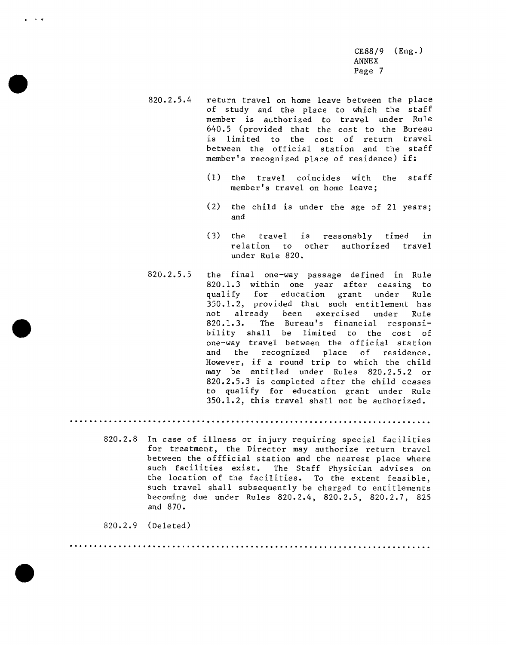- 820.2.5.4 return travel on home leave between the place of study and the place to which the staff member is authorized to travel under Rule 640.5 (provided that the cost to the Bureau is limited to the cost of return travel between the official station and the staff member's recognized place of residence) if:
	- (1) the travel coincides with the staff member's travel on home leave;
	- (2) the child is under the age of 21 years; and
	- (3) the travel is reasonably timed in relation to other authorized travel under Rule 820.
- 820.2.5.5 the final one-way passage defined in Rule 820.1.3 within one year after ceasing to qualify for education grant under Rule 350.1.2, provided that such entitlement has<br>not already been exercised under Rule not already been exercised under Rule<br>820.1.3. The Bureau's financial responsi-The Bureau's financial responsibility shall be limited to the cost of one-way travel between the official station and the recognized place of residence. However, if a round trip to which the child may be entitled under Rules 820.2.5.2 or 820.2.5.3 is completed after the child ceases to qualify for education grant under Rule 350.1.2, this travel shall not be authorized.

-..,.-...-.-.--..-.,.etI.eee.eeee.e...e.,eeeeee.e.......,..,..........,...

820.2.8 In case of illness or injury requiring special facilities for treatment, the Director may authorize return travel between the offficial station and the nearest place where such facilities exist. The Staff Physician advises on the location of the facilities. To the extent feasible, such travel shall subsequently be charged to entitlements becoming due under Rules 820.2.4, 820.2.5, 820.2.7, 825 and 870.

820.2.9 (Deleted)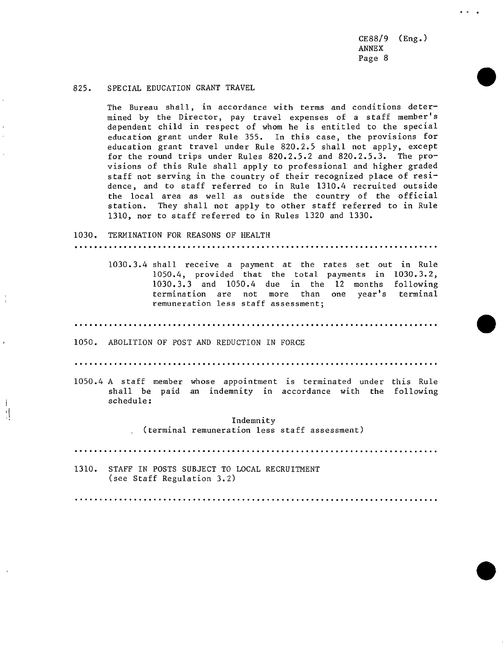## 825. SPECIAL EDUCATION GRANT TRAVEL

The Bureau shall, in accordance with terms and conditions determined by the Director, pay travel expenses of a staff member's dependent child in respect of whom he is entitled to the special education grant under Rule 355. In this case, the provisions for education grant travel under Rule 820.2.5 shall not apply, except for the round trips under Rules 820.2.5.2 and 820.2.5.3. The provisions of this Rule shall apply to professional and higher graded staff not serving in the country of their recognized place of residence, and to staff referred to in Rule 1310.4 recruited outside the local area as well as outside the country of the official station. They shall not apply to other staff referred to in Rule 1310, nor to staff referred to in Rules 1320 and 1330.

# 1030. TERMINATION FOR REASONS OF HEALTH ............oe.......eee.oe.e.eeeee.e...el.eeeeet.ee.eeee.ee.eeeeeeee.eee.

1030.3.4 shall receive a payment at the rates set out in Rule 1050.4, provided that the total payments in 1030.3.2, 1030.3.3 and 1050.4 due in the 12 months following termination are not more than one year's terminal remuneration less staff assessment;

....o..............leeoe.leeee..eJeeiee.ee.eeeeeeeiee.e.eeeee,ee.e.eele.ee

1050. ABOLITION OF POST AND REDUCTION IN FORCE

!

 $\overline{\phantom{a}}$ 

....e.ee,e.,ee.e.eee.ee.ee.e...\*ee.ee.e...eee.e....eeJee.ee.e..4.eeeeee..I

1050.4 A staff member whose appointment is terminated under this Rule shall be paid an indemnity in accordance with the following schedule:

> I Indemnity (terminal remuneration less staff assessment)

.''......,......-.....................e\_ee.ee.ee.e..eeee,ee.e..........,..

1310. STAFF IN POSTS SUBJECT TO LOCAL RECRUITMENT (see Staff Regulation 3.2)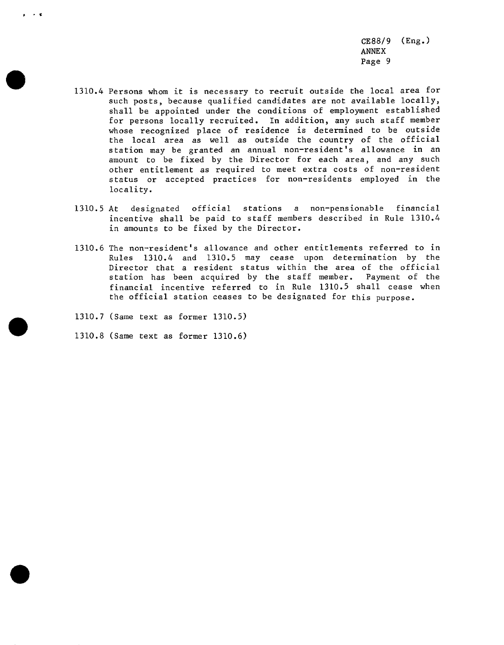- 1310.4 Persons whom it is necessary to recruit outside the local area for such posts, because qualified candidates are not available locally, shall be appointed under the conditions of employment established for persons locally recruited. In addition, any such staff member whose recognized place of residence is determined to be outside the local area as well as outside the country of the official station may be granted an annual non-resident's allowance in an amount to be fixed by the Director for each area, and any such other entitlement as required to meet extra costs of non-resident status or accepted practices for non-residents employed in the locality.
- 1310.5 At designated official stations a non-pensionable financial incentive shall be paid to staff members described in Rule 1310.4 in amounts to be fixed by the Director.
- 1310.6 The non-resident's allowance and other entitlements referred to in Rules 1310.4 and 1310.5 may cease upon determination by the Director that a resident status within the area of the official station has been acquired by the staff member. Payment of the financial incentive referred to in Rule 1310.5 shall cease when the official station ceases to be designated for this purpose.
- 1310.7 (Same text as former 1310.5)
- 1310.8 (Same text as former 1310.6)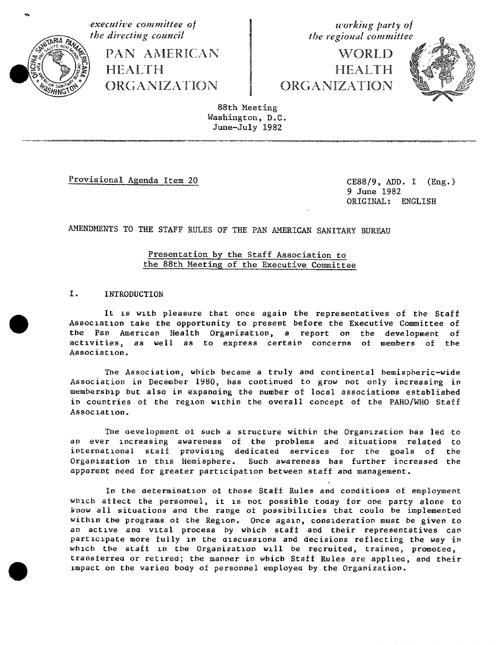

**executive** committee of the directing council the directing council the the regional committee

ORGANIZATION ORGANIZATION ORGANIZATIO**N**

the regional committee

PAN AMERICA**N** WORLD **/ '** <sup>4</sup> ' <sup>I</sup> **HEALTH** ORGANIZATION



88th Meeting Washington, D.C. June-July 1982

Provisional Agenda Item 20 CE88**/**9, ADD. I (Eng.)

9 June 1982 ORIGINAL: ENGLISH

AMENDmeNTS TO THE STAFF RULES OF THE PAN AMERICAN SANITARY BUREAU

# Presentation b**y** the Staff Association to the 88th Meeting of the Executive Committee

# I. INTRODUCTION

It is with pleasure that once again the representatives of tbe Staff Association take the opportunity to present before the Executive Committee of the Pan American Health Organization, a report on the development of activities, as well as to express certain concerns of members of the Association.

The Association, which became a truly and continental hemispheric-wide Association in December 1980, bas continued to grow mot only increasing in membership but also in expanoing the n**u**mber of local associations es**t**ablished in countries of the region wxtbin the overall concept of the PAHO**/**WHO Staff Assoczatlon.

The oevelopment ot such a structure within the Organization bas led to an ever increasing awareness of the problems and situations rel**a**ted to international staff providing dedicated services for the goals of the Organization in this Hemisphere. Such awareness has further increased the apparent need for greater participation between staff and management.

In the determination of those Staff Rules and conditions of employment whlcb affect the personnel, it is not possible today for one party alone to know all situations and the range ot possibilities that coul**a** be implemented within the programs of the Region. Once again, consideration must be given to an active and vital process by wbicb staff and their representatives can participate more fully in the discussions and decisions reflecting the way in which the staff in the Organization will be recr**u**ited, trained, promoted, transferred or retired; the manner in which Staff R**u**les are applleo, and their impact on the varied body of personnel employed by the Organization.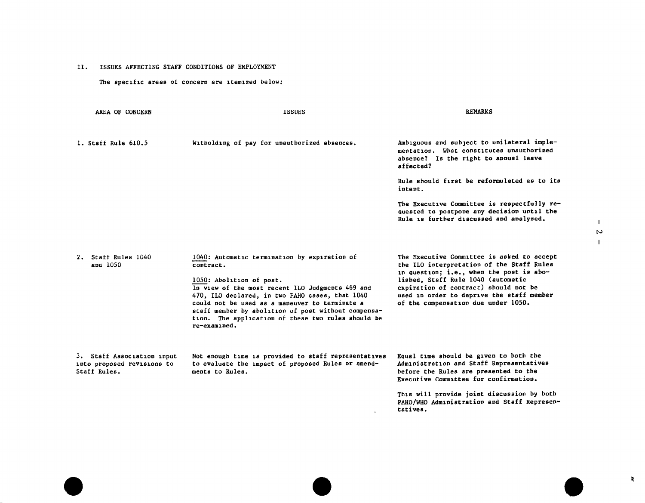II. ISSUES AFFECTING STAFF CONDITIONS OF EMPLOYMENT

The specific areas of concern are itemized below:

| AREA OF CONCERN                                                          | <b>ISSUES</b>                                                                                                                                                                                                                                                                                                                                                               | <b>REMARKS</b>                                                                                                                                                                                                                                                                                                                                 |
|--------------------------------------------------------------------------|-----------------------------------------------------------------------------------------------------------------------------------------------------------------------------------------------------------------------------------------------------------------------------------------------------------------------------------------------------------------------------|------------------------------------------------------------------------------------------------------------------------------------------------------------------------------------------------------------------------------------------------------------------------------------------------------------------------------------------------|
| 1. Staff Rule 610.5                                                      | Witholding of pay for unauthorized absences.                                                                                                                                                                                                                                                                                                                                | Ambiguous and subject to unilateral imple-<br>mentation. What constitutes unauthorized<br>absence? Is the right to annual leave<br>affected?<br>Rule should first be reformulated as to its<br>intent.<br>The Executive Committee is respectfully re-<br>quested to postpone any decision until the<br>Rule is further discussed and analyzed. |
| Staff Rules 1040<br>2.<br>and 1050                                       | 1040: Automatic termination by expiration of<br>contract.<br>1050: Abolition of post.<br>In view of the most recent ILO Judgments 469 and<br>470, ILO declared, in two PAHO cases, that 1040<br>could not be used as a maneuver to terminate a<br>staff member by abolition of post without compensa-<br>tion. The application of these two rules should be<br>re-examined. | The Executive Committee is asked to accept<br>the ILO interpretation of the Staff Rules<br>in question; i.e., when the post is abo-<br>lished, Staff Rule 1040 (automatic<br>expiration of contract) should not be<br>used in order to deprive the staff member<br>of the compensation due under 1050.                                         |
| 3. Staff Association input<br>into proposed revisions to<br>Staff Rules. | Not enough time is provided to staff representatives<br>to evaluate the impact of proposed Rules or amend-<br>ments to Rules.                                                                                                                                                                                                                                               | Equal time should be given to both the<br>Administration and Staff Representatives<br>before the Rules are presented to the<br>Executive Committee for confirmation.<br>This will provide joint discussion by both<br>PAHO/WHO Administration and Staff Represen-<br>tatives.                                                                  |

 $\mathcal{R}$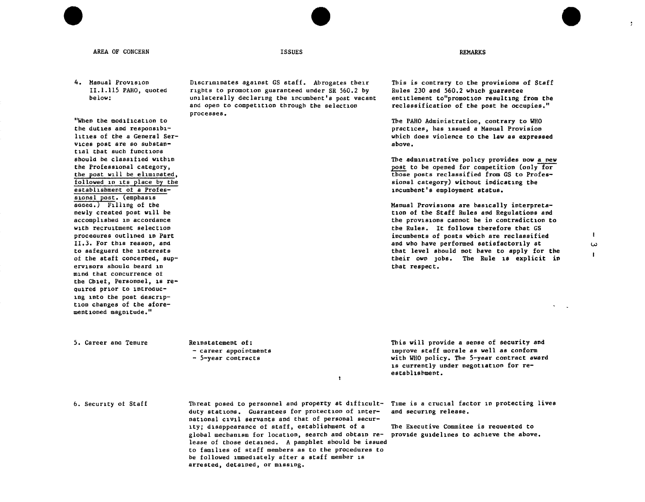| AREA OF CONCERN                                                                                                                                                                                                                             | <b>ISSUES</b>                                                                                                                                                                                                            | <b>REMARKS</b>                                                                                                                                                                                                                                                                                                                                                            |
|---------------------------------------------------------------------------------------------------------------------------------------------------------------------------------------------------------------------------------------------|--------------------------------------------------------------------------------------------------------------------------------------------------------------------------------------------------------------------------|---------------------------------------------------------------------------------------------------------------------------------------------------------------------------------------------------------------------------------------------------------------------------------------------------------------------------------------------------------------------------|
| 4. Manual Provision<br>II.1.115 PAHO, quoted<br>below:                                                                                                                                                                                      | Discriminates against GS staff. Abrogates their<br>rights to promotion guaranteed under SR 560.2 by<br>unilaterally declaring the incumbent's post vacant<br>and open to competition through the selection<br>processes. | This is contrary to the provisions of Staff<br>Rules 230 and 560.2 which guarantee<br>entitlement to"promotion resulting from the<br>reclassification of the post he occupies."                                                                                                                                                                                           |
| "When the modification to<br>the duties and responsibi-<br>lities of the a General Ser-<br>vices post are so substan-<br>tial that such functions                                                                                           |                                                                                                                                                                                                                          | The PAHO Administration, contrary to WHO<br>practices, has issued a Manual Provision<br>which does violence to the law as expressed<br>above.                                                                                                                                                                                                                             |
| should be classified within<br>the Professional category,<br>the post will be eliminated,<br>followed in its place by the<br>establishment of a Profes-<br>sional post. (emphasis                                                           |                                                                                                                                                                                                                          | The administrative policy provides now a new<br>post to be opened for competition (only for<br>those posts reclassified from GS to Profes-<br>sional category) without indicating the<br>incumbent's employment status.                                                                                                                                                   |
| added.) Filling of the<br>newly created post will be<br>accomplished in accordance<br>with recruitment selection<br>procedures outlined in Part<br>II.3. For this reason, and<br>to safeguard the interests<br>of the staff concerned, sup- |                                                                                                                                                                                                                          | Manual Provisions are basically interpreta-<br>tion of the Staff Rules and Regulations and<br>the provisions cannot be in contradiction to<br>the Rules. It follows therefore that GS<br>incumbents of posts which are reclassified<br>and who have performed satisfactorily at<br>that level should not have to apply for the<br>their own jobs. The Rule is explicit in |
| ervisors should beard in<br>mind that concurrence of<br>the Chief, Personnel, is re-<br>quired prior to introduc-<br>ing into the post descrip-<br>tion changes of the afore-<br>mentioned magnitude."                                      |                                                                                                                                                                                                                          | that respect.                                                                                                                                                                                                                                                                                                                                                             |
| 5. Career and Tenure                                                                                                                                                                                                                        | Reinstatement of:<br>- career appointments<br>- 5-year contracts<br>1                                                                                                                                                    | This will provide a sense of security and<br>improve staff morale as well as conform<br>with WHO policy. The 5-year contract award<br>18 currently under negotiation for re-<br>establishment.                                                                                                                                                                            |
| 6. Security of Staff                                                                                                                                                                                                                        | Threat posed to personnel and property at difficult- Time is a crucial factor in protecting lives<br>duty stations. Guarantees for protection of inter-<br>national civil servants and that of personal secur-           | and securing release.                                                                                                                                                                                                                                                                                                                                                     |

ity; disappearance of staff, establishment of a

arrested, detained, or missing.

lease of those detained. A pamphlet should be issued to families of staff members as to the procedures to be followed immediately after a staff member is

The Executive Commitee is requested to global mechanism for location, search and obtain re- provide guidelines to achieve the above.

 $\mathbf{I}$  $\omega$  $\mathbf{I}$ 

 $\mathcal{L}$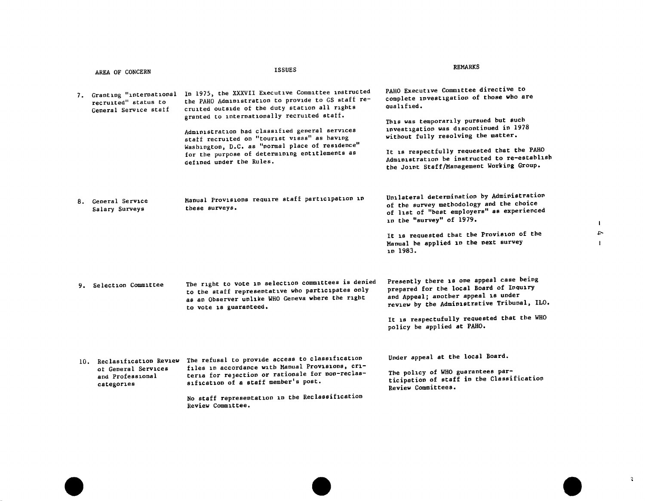|    | AREA OF CONCERN                                                                     | <b>ISSUES</b>                                                                                                                                                                                                                                                                                                                                                                                                                                | <b>REMARKS</b>                                                                                                                                                                                                                                                                                                                                                      |
|----|-------------------------------------------------------------------------------------|----------------------------------------------------------------------------------------------------------------------------------------------------------------------------------------------------------------------------------------------------------------------------------------------------------------------------------------------------------------------------------------------------------------------------------------------|---------------------------------------------------------------------------------------------------------------------------------------------------------------------------------------------------------------------------------------------------------------------------------------------------------------------------------------------------------------------|
|    | 7. Granting "international<br>recruited" status to<br>General Service staff         | In 1975, the XXXVII Executive Committee instructed<br>the PAHO Administration to provide to GS staff re-<br>cruited outside of the duty station all rights<br>granted to internationally recruited staff.<br>Administration had classified general services<br>staff recruited on "tourist visas" as having<br>Washington, D.C. as "normal place of residence"<br>for the purpose of determining entitlements as<br>defined under the Rules. | PAHO Executive Committee directive to<br>complete investigation of those who are<br>qualified.<br>This was temporarily pursued but such<br>investigation was discontinued in 1978<br>without fully resolving the matter.<br>It is respectfully requested that the PAHO<br>Administration be instructed to re-establish<br>the Joint Staff/Management Working Group. |
|    | 8. General Service<br>Salary Surveys                                                | Manual Provisions require staff participation in<br>these surveys.                                                                                                                                                                                                                                                                                                                                                                           | Unilateral determination by Administration<br>of the survey methodology and the choice<br>of list of "best employers" as experienced<br>in the "survey" of 1979.<br>It is requested that the Provision of the<br>Manual be applied in the next survey<br>in 1983.                                                                                                   |
| 9. | Selection Committee                                                                 | The right to vote in selection committees is denied<br>to the staff representative who participates only<br>as an Observer unlike WHO Geneva where the right<br>to vote is guaranteed.                                                                                                                                                                                                                                                       | Presently there is one appeal case being<br>prepared for the local Board of Inquiry<br>and Appeal; another appeal is under<br>review by the Administrative Tribunal, ILO.<br>It is respectufully requested that the WHO<br>policy be applied at PAHO.                                                                                                               |
|    | 10. Reclasification Review<br>of General Services<br>and Professional<br>categories | The refusal to provide access to classification<br>files in accordance with Manual Provisions, cri-<br>teria for rejection or rationale for non-reclas-<br>sification of a staff member's post.<br>No staff representation in the Reclassification<br>Review Committee.                                                                                                                                                                      | Under appeal at the local Board.<br>The policy of WHO guarantees par-<br>ticipation of staff in the Classification<br>Review Committees.                                                                                                                                                                                                                            |

 $\mathbf{E}$  $\uparrow$  $\mathbf{I}$ 

 $\sim 3$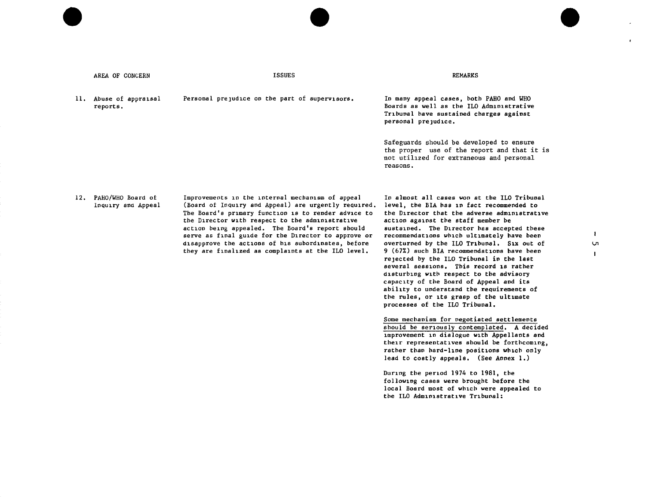| AREA OF CONCERN                             | <b>ISSUES</b>                                                                                                                                                                                                                                                                                                                                                                                                                             | REMARKS                                                                                                                                                                                                                                                                                                                                                                                                                                                                                                                                                                                                                                                                                                                                                                                                                                                                                                                                                                                                                                                                                                                              |                          |
|---------------------------------------------|-------------------------------------------------------------------------------------------------------------------------------------------------------------------------------------------------------------------------------------------------------------------------------------------------------------------------------------------------------------------------------------------------------------------------------------------|--------------------------------------------------------------------------------------------------------------------------------------------------------------------------------------------------------------------------------------------------------------------------------------------------------------------------------------------------------------------------------------------------------------------------------------------------------------------------------------------------------------------------------------------------------------------------------------------------------------------------------------------------------------------------------------------------------------------------------------------------------------------------------------------------------------------------------------------------------------------------------------------------------------------------------------------------------------------------------------------------------------------------------------------------------------------------------------------------------------------------------------|--------------------------|
| 11. Abuse of appraisal<br>reports.          | Personal prejudice on the part of supervisors.                                                                                                                                                                                                                                                                                                                                                                                            | In many appeal cases, both PAHO and WHO<br>Boards as well as the ILO Administrative<br>Tribunal have sustained charges against<br>personal prejudice.                                                                                                                                                                                                                                                                                                                                                                                                                                                                                                                                                                                                                                                                                                                                                                                                                                                                                                                                                                                |                          |
|                                             |                                                                                                                                                                                                                                                                                                                                                                                                                                           | Safeguards should be developed to ensure<br>the proper use of the report and that it is<br>not utilized for extraneous and personal<br>reasons.                                                                                                                                                                                                                                                                                                                                                                                                                                                                                                                                                                                                                                                                                                                                                                                                                                                                                                                                                                                      |                          |
| 12. PAHO/WHO Board of<br>Inquiry and Appeal | Improvements in the internal mechanism of appeal<br>(Board of Inquiry and Appeal) are urgently required.<br>The Board's primary function is to render advice to<br>the Director with respect to the administrative<br>action being appealed. The Board's report should<br>serve as final guide for the Director to approve or<br>disapprove the actions of his subordinates, before<br>they are finalized as complaints at the ILO level. | In almost all cases won at the ILO Tribunal<br>level, the BIA has in fact recommended to<br>the Director that the adverse administrative<br>action against the staff member be<br>sustained. The Director has accepted these<br>recommendations which ultimately have been<br>overturned by the ILO Tribunal. Six out of<br>9 (67%) such BIA recommendations have been<br>rejected by the ILO Tribunal in the last<br>several sessions. This record is rather<br>disturbing with respect to the advisory<br>capacity of the Board of Appeal and its<br>ability to understand the requirements of<br>the rules, or its grasp of the ultimate<br>processes of the ILO Tribunal.<br>Some mechanism for pegotiated settlements<br>should be seriously contemplated. A decided<br>improvement in dialogue with Appellants and<br>their representatives should be forthcoming,<br>rather than hard-line positions which only<br>lead to costly appeals. (See Annex 1.)<br>During the period 1974 to 1981, the<br>following cases were brought before the<br>local Board most of which were appealed to<br>the ILO Administrative Tribunal: | 1.<br>Ų1<br>$\mathbf{I}$ |

 $\mathcal{L}$ 

 $\epsilon$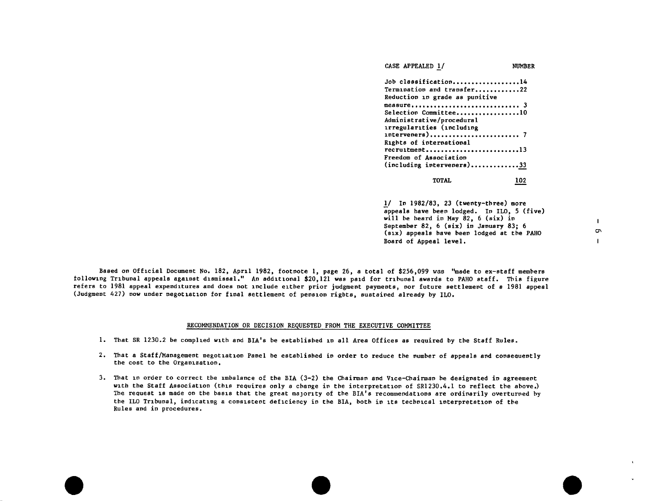| CASE APPEALED 1/                                                | NUMBER |
|-----------------------------------------------------------------|--------|
| Job classification14                                            |        |
| Termination and transfer22                                      |        |
| Reduction in grade as punitive                                  |        |
|                                                                 |        |
| Selection Committee10                                           |        |
| Administrative/procedural                                       |        |
| irregularities (including                                       |        |
| $intervements) \dots \dots \dots \dots \dots \dots \dots \dots$ |        |
| Rights of international                                         |        |
| $recru$ itment13                                                |        |
| <b>Freedom of Association</b>                                   |        |
| (including interveners)33                                       |        |
| <b>TOTAL</b>                                                    | 102    |
|                                                                 |        |
|                                                                 |        |
| $1/$ In 1982/83, 23 (twenty-three) more                         |        |
| appeals have been lodged. In ILO, 5 (five)                      |        |
| will be heard in May 82, $6$ (six) in                           |        |
| September 82, 6 (six) in January 83; 6                          |        |

(six) appeals have been lodged at the PAHO

Board of Appeal level.

Based on Official Document No. 182, April 1982, footnote 1, page 26, a total of \$256,099 was "made to ex-staff members following Tribunal appeals against dismissal." An additional \$20,121 was paid for tribunal awards to PAHO staff. This figure refers to 1981 appeal expenditures and does not include either prior judgment payments, nor future settlement of a 1981 appeal (Judgment 427) now under negotiation for final settlement of pension rights, sustained already by ILO.

#### RECOMMENDATION OR DECISION REQUESTED FROM THE EXECUTIVE COMMITTEE

- 1. That SR 1230.2 be complied with and BIA's be established in all Area Offices as required by the Staff Rules.
- 2. That a Staff/Management negotiation Panel be established in order to reduce the number of appeals and consequently the cost to the Organization.
- 3. That in order to correct the imbalance of the BIA (3-2) the Chairman and Vice-Chairman be designated in agreement with the Staff Association (this requires only a change in the interpretation of SR1230.4.1 to reflect the above.) The request is made on the basis that the great majority of the BIA's recommendations are ordinarily overturned by the ILO Tribunal, indicating a consistent deficiency in the BIA, both in its technical interpretation of the Rules and in procedures.

 $\mathbf{I}$  $\sigma$  $\mathbf{1}$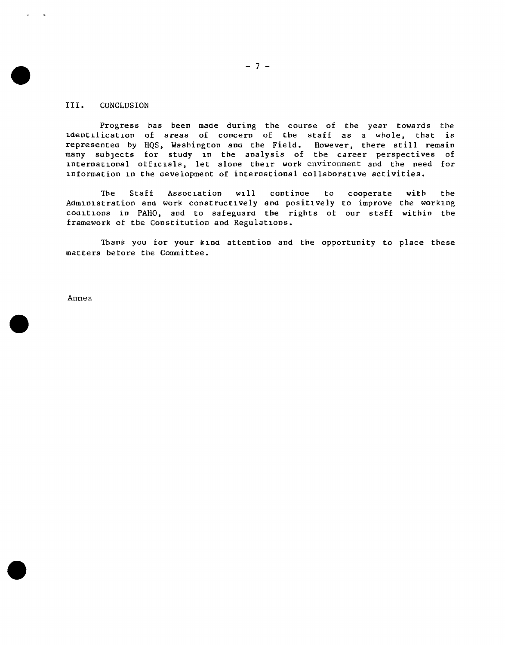# III. CONCLUSION

Progress has been made during the course of the year towards the 1Oentlficatlon of areas of concern of the staff as a whole, that is represented by HQS, Wasbimgtop ano tbe Field. However, there still remain many subjects for study in the analysis of the career perspectives of international officials, let alone their work environment and the need for information in the oevelopment of international collaborative activities.

The Staff Association will continue to cooperate with the Administration and work constructively and positively to improve the working coaltions in PAHO, and to safeguard the rights of our staff within the framework of tbe Constitution and Regulations.

Thank you for your kind attention and the opportunity to place these matters before the Committee.

Annex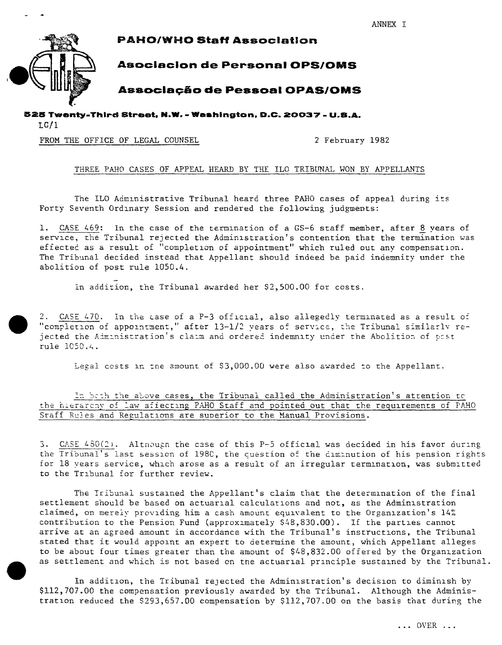ANNEX I



**PAHO/WHO Staff Association** 

# **Asociacion de Personal OPS/OMS**

# **Associação de Pessoal OPAS/OMS**

525 Twenty-Third Street, N.W. - Weshington, D.C. 20037 - U.S.A.

 $LC/1$ 

FROM THE OFFICE OF LEGAL COUNSEL

2 February 1982

# THREE PAHO CASES OF APPEAL HEARD BY THE ILO TRIBUNAL WON BY APPELLANTS

The ILO Administrative Tribunal heard three PAHO cases of appeal during its Forty Seventh Ordinary Session and rendered the following judgments:

1. CASE 469: In the case of the termination of a GS-6 staff member, after 8 years of service, the Tribunal rejected the Administration's contention that the termination was effected as a result of "completion of appointment" which ruled out any compensation. The Tribunal decided instead that Appellant should indeed be paid indemnity under the abolition of post rule 1050.4.

In addition, the Tribunal awarded her \$2,500.00 for costs.

2. CASE 470. In the case of a P-3 official, also allegedly terminated as a result of "completion of appointment," after 13-1/2 years of service, the Tribunal similarly rejected the Administration's claim and ordered indemnity under the Abolition of post rule 1050.4.

Legal costs in the amount of \$3,000.00 were also awarded to the Appellant.

In both the above cases, the Tribunal called the Administration's attention to the hierarchy of law affecting PAHO Staff and pointed out that the requirements of PAHO Staff Rules and Regulations are superior to the Manual Provisions.

3. CASE 480(2). Although the case of this P-5 official was decided in his favor during the Tribunal's last session of 1980, the question of the diminution of his pension rights for 18 years service, which arose as a result of an irregular termination, was submitted to the Tribunal for further review.

The Tribunal sustained the Appellant's claim that the determination of the final settlement should be based on actuarial calculations and not, as the Administration claimed, on merely providing him a cash amount equivalent to the Organization's 14% contribution to the Pension Fund (approximately \$48,830.00). If the parties cannot arrive at an agreed amount in accordance with the Tribunal's instructions, the Tribunal stated that it would appoint an expert to determine the amount, which Appellant alleges to be about four times greater than the amount of \$48,832.00 offered by the Organization as settlement and which is not based on the actuarial principle sustained by the Tribunal.

In addition, the Tribunal rejected the Administration's decision to diminish by \$112,707.00 the compensation previously awarded by the Tribunal. Although the Administration reduced the \$293,657.00 compensation by \$112,707.00 on the basis that during the